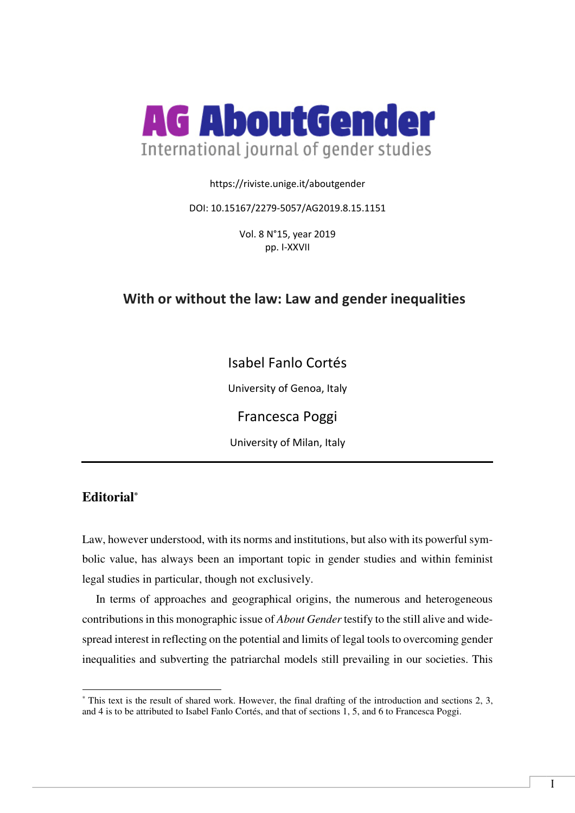

#### https://riviste.unige.it/aboutgender

#### DOI: 10.15167/2279-5057/AG2019.8.15.1151

Vol. 8 N°15, year 2019 pp. I-XXVII

# **With or without the law: Law and gender inequalities**

Isabel Fanlo Cortés

University of Genoa, Italy

Francesca Poggi

University of Milan, Italy

# **Editorial\***

 $\overline{a}$ 

Law, however understood, with its norms and institutions, but also with its powerful symbolic value, has always been an important topic in gender studies and within feminist legal studies in particular, though not exclusively.

In terms of approaches and geographical origins, the numerous and heterogeneous contributions in this monographic issue of *About Gender* testify to the still alive and widespread interest in reflecting on the potential and limits of legal tools to overcoming gender inequalities and subverting the patriarchal models still prevailing in our societies. This

<sup>\*</sup> This text is the result of shared work. However, the final drafting of the introduction and sections 2, 3, and 4 is to be attributed to Isabel Fanlo Cortés, and that of sections 1, 5, and 6 to Francesca Poggi.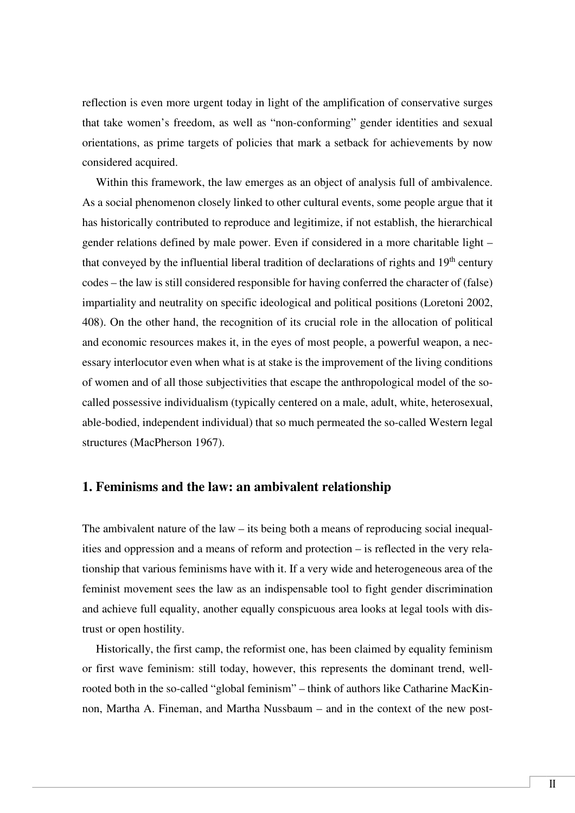reflection is even more urgent today in light of the amplification of conservative surges that take women's freedom, as well as "non-conforming" gender identities and sexual orientations, as prime targets of policies that mark a setback for achievements by now considered acquired.

Within this framework, the law emerges as an object of analysis full of ambivalence. As a social phenomenon closely linked to other cultural events, some people argue that it has historically contributed to reproduce and legitimize, if not establish, the hierarchical gender relations defined by male power. Even if considered in a more charitable light – that conveyed by the influential liberal tradition of declarations of rights and 19<sup>th</sup> century codes – the law is still considered responsible for having conferred the character of (false) impartiality and neutrality on specific ideological and political positions (Loretoni 2002, 408). On the other hand, the recognition of its crucial role in the allocation of political and economic resources makes it, in the eyes of most people, a powerful weapon, a necessary interlocutor even when what is at stake is the improvement of the living conditions of women and of all those subjectivities that escape the anthropological model of the socalled possessive individualism (typically centered on a male, adult, white, heterosexual, able-bodied, independent individual) that so much permeated the so-called Western legal structures (MacPherson 1967).

### **1. Feminisms and the law: an ambivalent relationship**

The ambivalent nature of the law – its being both a means of reproducing social inequalities and oppression and a means of reform and protection – is reflected in the very relationship that various feminisms have with it. If a very wide and heterogeneous area of the feminist movement sees the law as an indispensable tool to fight gender discrimination and achieve full equality, another equally conspicuous area looks at legal tools with distrust or open hostility.

Historically, the first camp, the reformist one, has been claimed by equality feminism or first wave feminism: still today, however, this represents the dominant trend, wellrooted both in the so-called "global feminism" – think of authors like Catharine MacKinnon, Martha A. Fineman, and Martha Nussbaum – and in the context of the new post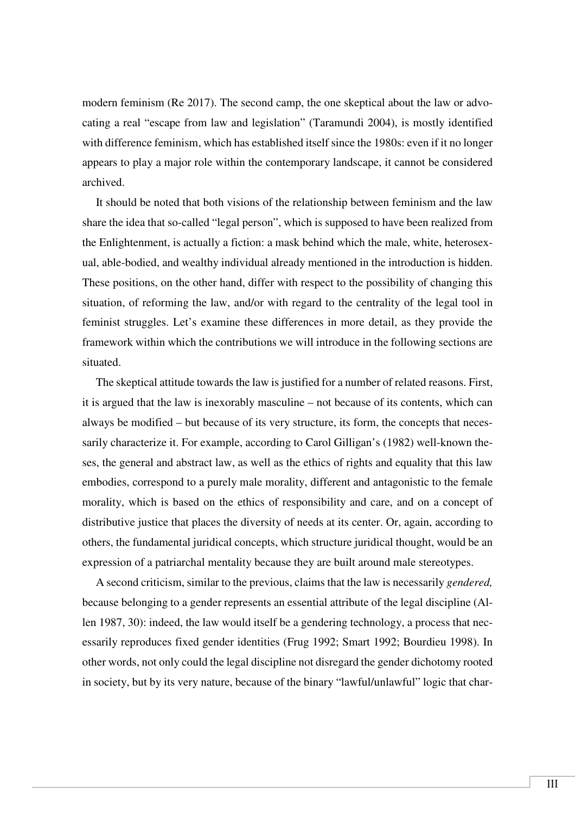modern feminism (Re 2017). The second camp, the one skeptical about the law or advocating a real "escape from law and legislation" (Taramundi 2004), is mostly identified with difference feminism, which has established itself since the 1980s: even if it no longer appears to play a major role within the contemporary landscape, it cannot be considered archived.

It should be noted that both visions of the relationship between feminism and the law share the idea that so-called "legal person", which is supposed to have been realized from the Enlightenment, is actually a fiction: a mask behind which the male, white, heterosexual, able-bodied, and wealthy individual already mentioned in the introduction is hidden. These positions, on the other hand, differ with respect to the possibility of changing this situation, of reforming the law, and/or with regard to the centrality of the legal tool in feminist struggles. Let's examine these differences in more detail, as they provide the framework within which the contributions we will introduce in the following sections are situated.

The skeptical attitude towards the law is justified for a number of related reasons. First, it is argued that the law is inexorably masculine – not because of its contents, which can always be modified – but because of its very structure, its form, the concepts that necessarily characterize it. For example, according to Carol Gilligan's (1982) well-known theses, the general and abstract law, as well as the ethics of rights and equality that this law embodies, correspond to a purely male morality, different and antagonistic to the female morality, which is based on the ethics of responsibility and care, and on a concept of distributive justice that places the diversity of needs at its center. Or, again, according to others, the fundamental juridical concepts, which structure juridical thought, would be an expression of a patriarchal mentality because they are built around male stereotypes.

A second criticism, similar to the previous, claims that the law is necessarily *gendered,* because belonging to a gender represents an essential attribute of the legal discipline (Allen 1987, 30): indeed, the law would itself be a gendering technology, a process that necessarily reproduces fixed gender identities (Frug 1992; Smart 1992; Bourdieu 1998). In other words, not only could the legal discipline not disregard the gender dichotomy rooted in society, but by its very nature, because of the binary "lawful/unlawful" logic that char-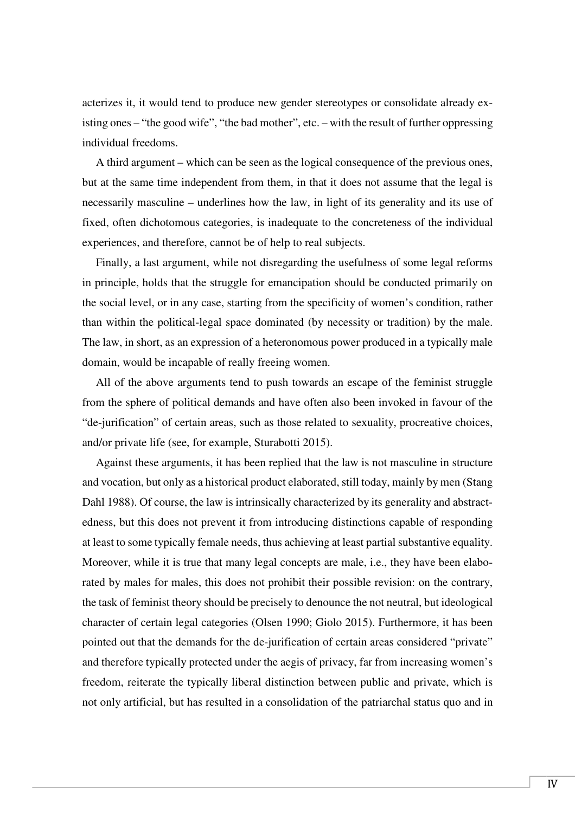acterizes it, it would tend to produce new gender stereotypes or consolidate already existing ones – "the good wife", "the bad mother", etc. – with the result of further oppressing individual freedoms.

A third argument – which can be seen as the logical consequence of the previous ones, but at the same time independent from them, in that it does not assume that the legal is necessarily masculine – underlines how the law, in light of its generality and its use of fixed, often dichotomous categories, is inadequate to the concreteness of the individual experiences, and therefore, cannot be of help to real subjects.

Finally, a last argument, while not disregarding the usefulness of some legal reforms in principle, holds that the struggle for emancipation should be conducted primarily on the social level, or in any case, starting from the specificity of women's condition, rather than within the political-legal space dominated (by necessity or tradition) by the male. The law, in short, as an expression of a heteronomous power produced in a typically male domain, would be incapable of really freeing women.

All of the above arguments tend to push towards an escape of the feminist struggle from the sphere of political demands and have often also been invoked in favour of the "de-jurification" of certain areas, such as those related to sexuality, procreative choices, and/or private life (see, for example, Sturabotti 2015).

Against these arguments, it has been replied that the law is not masculine in structure and vocation, but only as a historical product elaborated, still today, mainly by men (Stang Dahl 1988). Of course, the law is intrinsically characterized by its generality and abstractedness, but this does not prevent it from introducing distinctions capable of responding at least to some typically female needs, thus achieving at least partial substantive equality. Moreover, while it is true that many legal concepts are male, i.e., they have been elaborated by males for males, this does not prohibit their possible revision: on the contrary, the task of feminist theory should be precisely to denounce the not neutral, but ideological character of certain legal categories (Olsen 1990; Giolo 2015). Furthermore, it has been pointed out that the demands for the de-jurification of certain areas considered "private" and therefore typically protected under the aegis of privacy, far from increasing women's freedom, reiterate the typically liberal distinction between public and private, which is not only artificial, but has resulted in a consolidation of the patriarchal status quo and in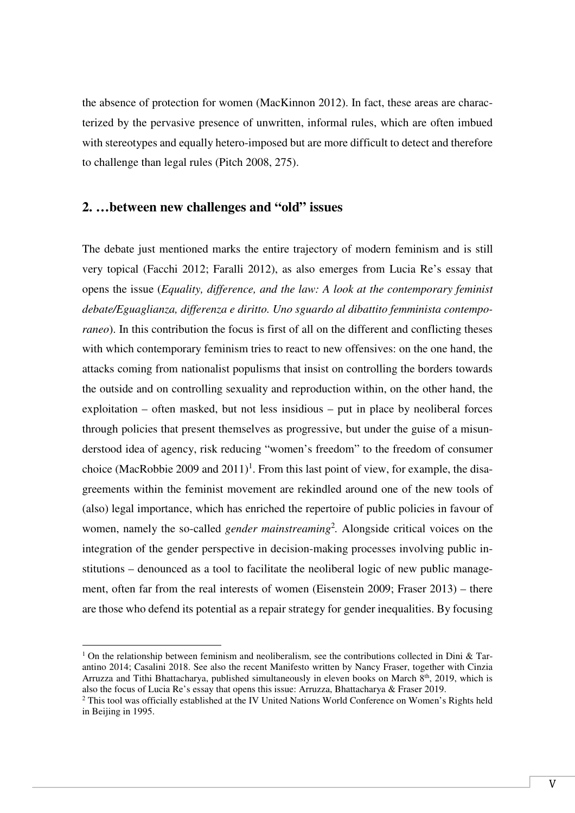the absence of protection for women (MacKinnon 2012). In fact, these areas are characterized by the pervasive presence of unwritten, informal rules, which are often imbued with stereotypes and equally hetero-imposed but are more difficult to detect and therefore to challenge than legal rules (Pitch 2008, 275).

## **2. …between new challenges and "old" issues**

The debate just mentioned marks the entire trajectory of modern feminism and is still very topical (Facchi 2012; Faralli 2012), as also emerges from Lucia Re's essay that opens the issue (*Equality, difference, and the law: A look at the contemporary feminist debate/Eguaglianza, differenza e diritto. Uno sguardo al dibattito femminista contemporaneo*). In this contribution the focus is first of all on the different and conflicting theses with which contemporary feminism tries to react to new offensives: on the one hand, the attacks coming from nationalist populisms that insist on controlling the borders towards the outside and on controlling sexuality and reproduction within, on the other hand, the exploitation – often masked, but not less insidious – put in place by neoliberal forces through policies that present themselves as progressive, but under the guise of a misunderstood idea of agency, risk reducing "women's freedom" to the freedom of consumer choice (MacRobbie 2009 and  $2011$ )<sup>1</sup>. From this last point of view, for example, the disagreements within the feminist movement are rekindled around one of the new tools of (also) legal importance, which has enriched the repertoire of public policies in favour of women, namely the so-called *gender mainstreaming*<sup>2</sup> *.* Alongside critical voices on the integration of the gender perspective in decision-making processes involving public institutions – denounced as a tool to facilitate the neoliberal logic of new public management, often far from the real interests of women (Eisenstein 2009; Fraser 2013) – there are those who defend its potential as a repair strategy for gender inequalities. By focusing

<sup>&</sup>lt;sup>1</sup> On the relationship between feminism and neoliberalism, see the contributions collected in Dini & Tarantino 2014; Casalini 2018. See also the recent Manifesto written by Nancy Fraser, together with Cinzia Arruzza and Tithi Bhattacharya, published simultaneously in eleven books on March  $8<sup>th</sup>$ , 2019, which is also the focus of Lucia Re's essay that opens this issue: Arruzza, Bhattacharya & Fraser 2019.

<sup>&</sup>lt;sup>2</sup> This tool was officially established at the IV United Nations World Conference on Women's Rights held in Beijing in 1995.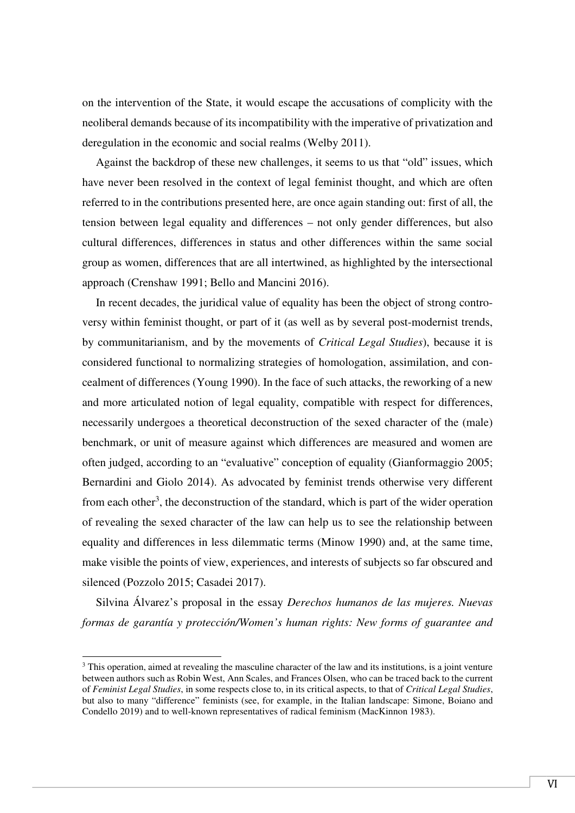on the intervention of the State, it would escape the accusations of complicity with the neoliberal demands because of its incompatibility with the imperative of privatization and deregulation in the economic and social realms (Welby 2011).

Against the backdrop of these new challenges, it seems to us that "old" issues, which have never been resolved in the context of legal feminist thought, and which are often referred to in the contributions presented here, are once again standing out: first of all, the tension between legal equality and differences – not only gender differences, but also cultural differences, differences in status and other differences within the same social group as women, differences that are all intertwined, as highlighted by the intersectional approach (Crenshaw 1991; Bello and Mancini 2016).

In recent decades, the juridical value of equality has been the object of strong controversy within feminist thought, or part of it (as well as by several post-modernist trends, by communitarianism, and by the movements of *Critical Legal Studies*), because it is considered functional to normalizing strategies of homologation, assimilation, and concealment of differences (Young 1990). In the face of such attacks, the reworking of a new and more articulated notion of legal equality, compatible with respect for differences, necessarily undergoes a theoretical deconstruction of the sexed character of the (male) benchmark, or unit of measure against which differences are measured and women are often judged, according to an "evaluative" conception of equality (Gianformaggio 2005; Bernardini and Giolo 2014). As advocated by feminist trends otherwise very different from each other<sup>3</sup>, the deconstruction of the standard, which is part of the wider operation of revealing the sexed character of the law can help us to see the relationship between equality and differences in less dilemmatic terms (Minow 1990) and, at the same time, make visible the points of view, experiences, and interests of subjects so far obscured and silenced (Pozzolo 2015; Casadei 2017).

Silvina Álvarez's proposal in the essay *Derechos humanos de las mujeres. Nuevas formas de garantía y protección/Women's human rights: New forms of guarantee and* 

<sup>&</sup>lt;sup>3</sup> This operation, aimed at revealing the masculine character of the law and its institutions, is a joint venture between authors such as Robin West, Ann Scales, and Frances Olsen, who can be traced back to the current of *Feminist Legal Studies*, in some respects close to, in its critical aspects, to that of *Critical Legal Studies*, but also to many "difference" feminists (see, for example, in the Italian landscape: Simone, Boiano and Condello 2019) and to well-known representatives of radical feminism (MacKinnon 1983).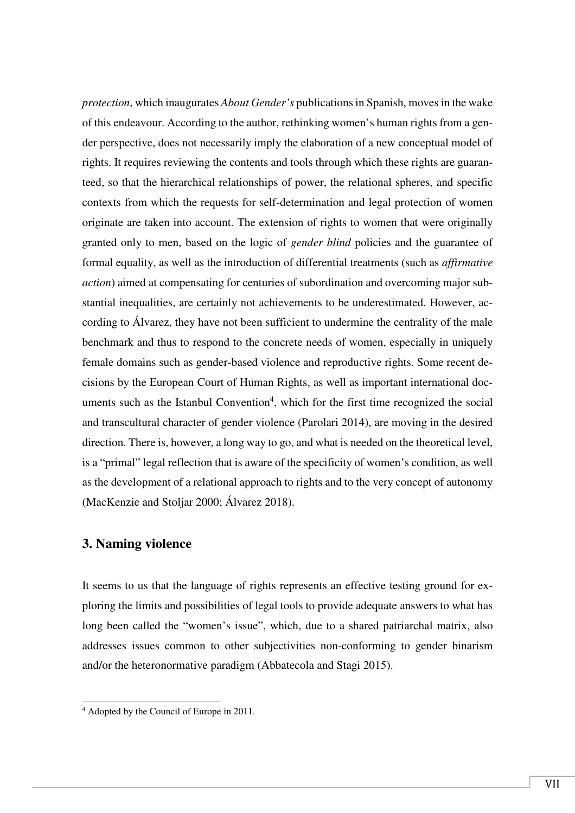*protection*, which inaugurates *About Gender's* publications in Spanish, moves in the wake of this endeavour. According to the author, rethinking women's human rights from a gender perspective, does not necessarily imply the elaboration of a new conceptual model of rights. It requires reviewing the contents and tools through which these rights are guaranteed, so that the hierarchical relationships of power, the relational spheres, and specific contexts from which the requests for self-determination and legal protection of women originate are taken into account. The extension of rights to women that were originally granted only to men, based on the logic of *gender blind* policies and the guarantee of formal equality, as well as the introduction of differential treatments (such as *affirmative action*) aimed at compensating for centuries of subordination and overcoming major substantial inequalities, are certainly not achievements to be underestimated. However, according to Álvarez, they have not been sufficient to undermine the centrality of the male benchmark and thus to respond to the concrete needs of women, especially in uniquely female domains such as gender-based violence and reproductive rights. Some recent decisions by the European Court of Human Rights, as well as important international documents such as the Istanbul Convention<sup>4</sup>, which for the first time recognized the social and transcultural character of gender violence (Parolari 2014), are moving in the desired direction. There is, however, a long way to go, and what is needed on the theoretical level, is a "primal" legal reflection that is aware of the specificity of women's condition, as well as the development of a relational approach to rights and to the very concept of autonomy (MacKenzie and Stoljar 2000; Álvarez 2018).

# **3. Naming violence**

 $\overline{a}$ 

It seems to us that the language of rights represents an effective testing ground for exploring the limits and possibilities of legal tools to provide adequate answers to what has long been called the "women's issue", which, due to a shared patriarchal matrix, also addresses issues common to other subjectivities non-conforming to gender binarism and/or the heteronormative paradigm (Abbatecola and Stagi 2015).

<sup>4</sup> Adopted by the Council of Europe in 2011.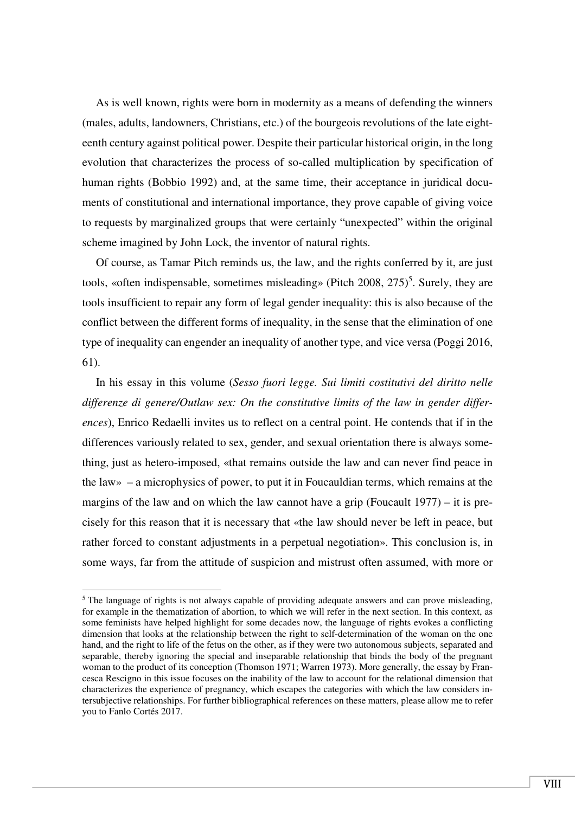As is well known, rights were born in modernity as a means of defending the winners (males, adults, landowners, Christians, etc.) of the bourgeois revolutions of the late eighteenth century against political power. Despite their particular historical origin, in the long evolution that characterizes the process of so-called multiplication by specification of human rights (Bobbio 1992) and, at the same time, their acceptance in juridical documents of constitutional and international importance, they prove capable of giving voice to requests by marginalized groups that were certainly "unexpected" within the original scheme imagined by John Lock, the inventor of natural rights.

Of course, as Tamar Pitch reminds us, the law, and the rights conferred by it, are just tools, «often indispensable, sometimes misleading» (Pitch 2008,  $275$ )<sup>5</sup>. Surely, they are tools insufficient to repair any form of legal gender inequality: this is also because of the conflict between the different forms of inequality, in the sense that the elimination of one type of inequality can engender an inequality of another type, and vice versa (Poggi 2016, 61).

In his essay in this volume (*Sesso fuori legge. Sui limiti costitutivi del diritto nelle differenze di genere/Outlaw sex: On the constitutive limits of the law in gender differences*), Enrico Redaelli invites us to reflect on a central point. He contends that if in the differences variously related to sex, gender, and sexual orientation there is always something, just as hetero-imposed, «that remains outside the law and can never find peace in the law» – a microphysics of power, to put it in Foucauldian terms, which remains at the margins of the law and on which the law cannot have a grip (Foucault 1977) – it is precisely for this reason that it is necessary that «the law should never be left in peace, but rather forced to constant adjustments in a perpetual negotiation». This conclusion is, in some ways, far from the attitude of suspicion and mistrust often assumed, with more or

<sup>&</sup>lt;sup>5</sup> The language of rights is not always capable of providing adequate answers and can prove misleading, for example in the thematization of abortion, to which we will refer in the next section. In this context, as some feminists have helped highlight for some decades now, the language of rights evokes a conflicting dimension that looks at the relationship between the right to self-determination of the woman on the one hand, and the right to life of the fetus on the other, as if they were two autonomous subjects, separated and separable, thereby ignoring the special and inseparable relationship that binds the body of the pregnant woman to the product of its conception (Thomson 1971; Warren 1973). More generally, the essay by Francesca Rescigno in this issue focuses on the inability of the law to account for the relational dimension that characterizes the experience of pregnancy, which escapes the categories with which the law considers intersubjective relationships. For further bibliographical references on these matters, please allow me to refer you to Fanlo Cortés 2017.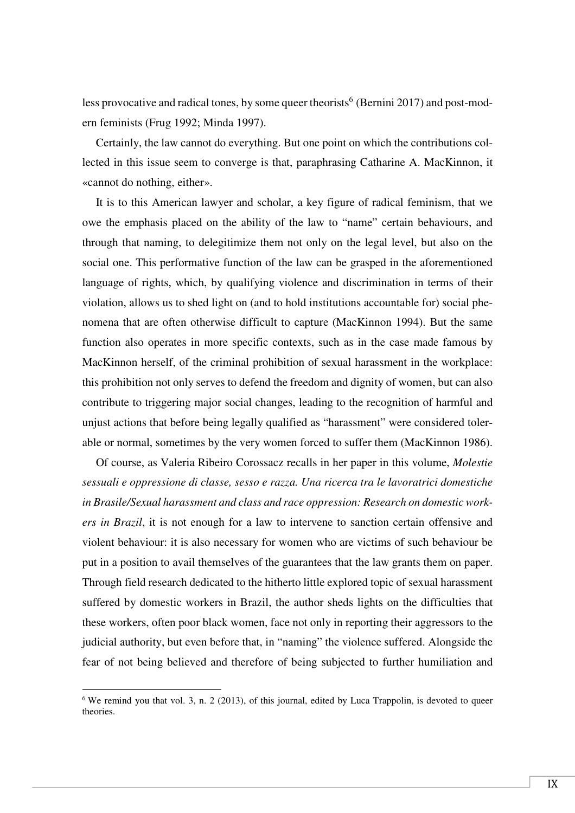less provocative and radical tones, by some queer theorists<sup>6</sup> (Bernini 2017) and post-modern feminists (Frug 1992; Minda 1997).

Certainly, the law cannot do everything. But one point on which the contributions collected in this issue seem to converge is that, paraphrasing Catharine A. MacKinnon, it «cannot do nothing, either».

It is to this American lawyer and scholar, a key figure of radical feminism, that we owe the emphasis placed on the ability of the law to "name" certain behaviours, and through that naming, to delegitimize them not only on the legal level, but also on the social one. This performative function of the law can be grasped in the aforementioned language of rights, which, by qualifying violence and discrimination in terms of their violation, allows us to shed light on (and to hold institutions accountable for) social phenomena that are often otherwise difficult to capture (MacKinnon 1994). But the same function also operates in more specific contexts, such as in the case made famous by MacKinnon herself, of the criminal prohibition of sexual harassment in the workplace: this prohibition not only serves to defend the freedom and dignity of women, but can also contribute to triggering major social changes, leading to the recognition of harmful and unjust actions that before being legally qualified as "harassment" were considered tolerable or normal, sometimes by the very women forced to suffer them (MacKinnon 1986).

Of course, as Valeria Ribeiro Corossacz recalls in her paper in this volume, *Molestie sessuali e oppressione di classe, sesso e razza. Una ricerca tra le lavoratrici domestiche in Brasile/Sexual harassment and class and race oppression: Research on domestic workers in Brazil*, it is not enough for a law to intervene to sanction certain offensive and violent behaviour: it is also necessary for women who are victims of such behaviour be put in a position to avail themselves of the guarantees that the law grants them on paper. Through field research dedicated to the hitherto little explored topic of sexual harassment suffered by domestic workers in Brazil, the author sheds lights on the difficulties that these workers, often poor black women, face not only in reporting their aggressors to the judicial authority, but even before that, in "naming" the violence suffered. Alongside the fear of not being believed and therefore of being subjected to further humiliation and

 $6$  We remind you that vol. 3, n. 2 (2013), of this journal, edited by Luca Trappolin, is devoted to queer theories.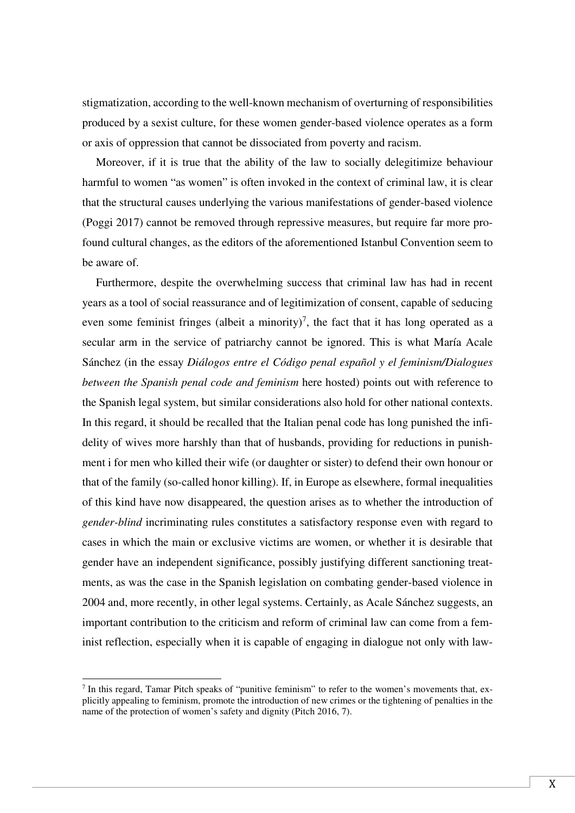stigmatization, according to the well-known mechanism of overturning of responsibilities produced by a sexist culture, for these women gender-based violence operates as a form or axis of oppression that cannot be dissociated from poverty and racism.

Moreover, if it is true that the ability of the law to socially delegitimize behaviour harmful to women "as women" is often invoked in the context of criminal law, it is clear that the structural causes underlying the various manifestations of gender-based violence (Poggi 2017) cannot be removed through repressive measures, but require far more profound cultural changes, as the editors of the aforementioned Istanbul Convention seem to be aware of.

Furthermore, despite the overwhelming success that criminal law has had in recent years as a tool of social reassurance and of legitimization of consent, capable of seducing even some feminist fringes (albeit a minority)<sup>7</sup>, the fact that it has long operated as a secular arm in the service of patriarchy cannot be ignored. This is what María Acale Sánchez (in the essay *Diálogos entre el Código penal español y el feminism/Dialogues between the Spanish penal code and feminism* here hosted) points out with reference to the Spanish legal system, but similar considerations also hold for other national contexts. In this regard, it should be recalled that the Italian penal code has long punished the infidelity of wives more harshly than that of husbands, providing for reductions in punishment i for men who killed their wife (or daughter or sister) to defend their own honour or that of the family (so-called honor killing). If, in Europe as elsewhere, formal inequalities of this kind have now disappeared, the question arises as to whether the introduction of *gender-blind* incriminating rules constitutes a satisfactory response even with regard to cases in which the main or exclusive victims are women, or whether it is desirable that gender have an independent significance, possibly justifying different sanctioning treatments, as was the case in the Spanish legislation on combating gender-based violence in 2004 and, more recently, in other legal systems. Certainly, as Acale Sánchez suggests, an important contribution to the criticism and reform of criminal law can come from a feminist reflection, especially when it is capable of engaging in dialogue not only with law-

<sup>7</sup> In this regard, Tamar Pitch speaks of "punitive feminism" to refer to the women's movements that, explicitly appealing to feminism, promote the introduction of new crimes or the tightening of penalties in the name of the protection of women's safety and dignity (Pitch 2016, 7).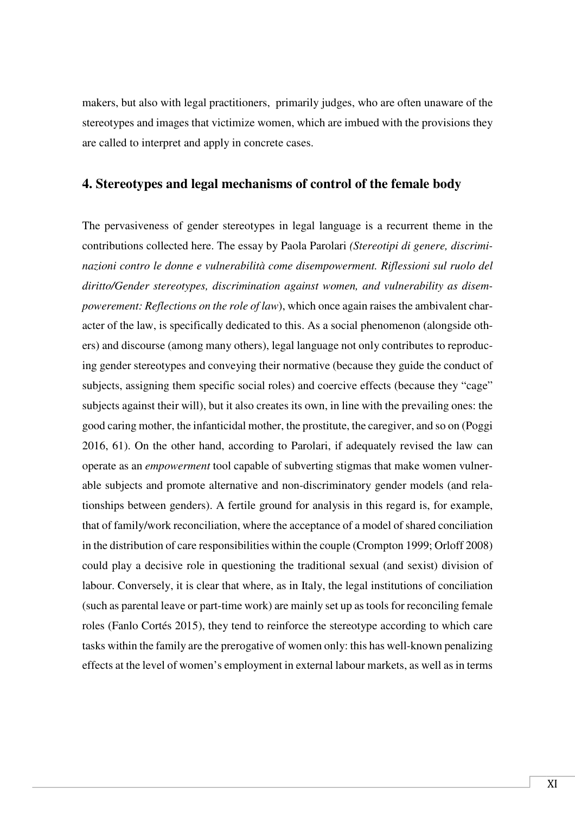makers, but also with legal practitioners, primarily judges, who are often unaware of the stereotypes and images that victimize women, which are imbued with the provisions they are called to interpret and apply in concrete cases.

### **4. Stereotypes and legal mechanisms of control of the female body**

The pervasiveness of gender stereotypes in legal language is a recurrent theme in the contributions collected here. The essay by Paola Parolari *(Stereotipi di genere, discriminazioni contro le donne e vulnerabilità come disempowerment. Riflessioni sul ruolo del diritto/Gender stereotypes, discrimination against women, and vulnerability as disempowerement: Reflections on the role of law*), which once again raises the ambivalent character of the law, is specifically dedicated to this. As a social phenomenon (alongside others) and discourse (among many others), legal language not only contributes to reproducing gender stereotypes and conveying their normative (because they guide the conduct of subjects, assigning them specific social roles) and coercive effects (because they "cage" subjects against their will), but it also creates its own, in line with the prevailing ones: the good caring mother, the infanticidal mother, the prostitute, the caregiver, and so on (Poggi 2016, 61). On the other hand, according to Parolari, if adequately revised the law can operate as an *empowerment* tool capable of subverting stigmas that make women vulnerable subjects and promote alternative and non-discriminatory gender models (and relationships between genders). A fertile ground for analysis in this regard is, for example, that of family/work reconciliation, where the acceptance of a model of shared conciliation in the distribution of care responsibilities within the couple (Crompton 1999; Orloff 2008) could play a decisive role in questioning the traditional sexual (and sexist) division of labour. Conversely, it is clear that where, as in Italy, the legal institutions of conciliation (such as parental leave or part-time work) are mainly set up as tools for reconciling female roles (Fanlo Cortés 2015), they tend to reinforce the stereotype according to which care tasks within the family are the prerogative of women only: this has well-known penalizing effects at the level of women's employment in external labour markets, as well as in terms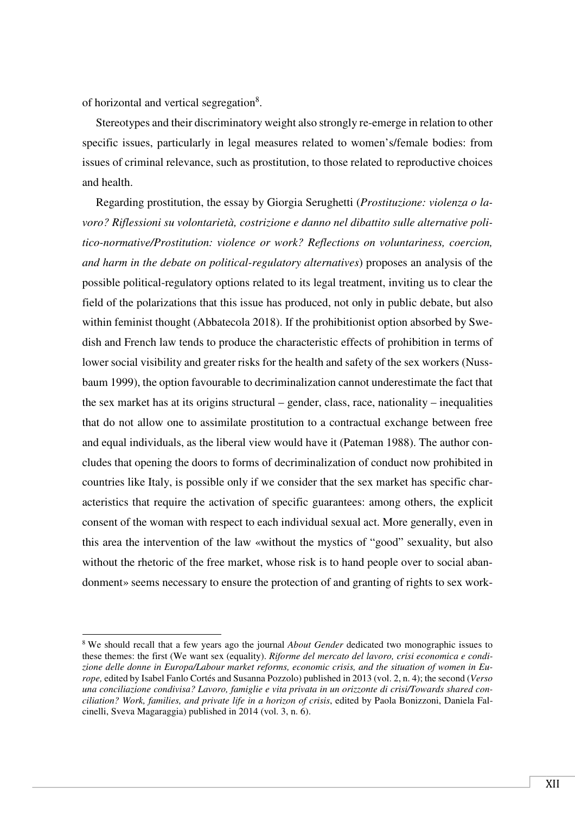of horizontal and vertical segregation<sup>8</sup>.

 $\overline{a}$ 

Stereotypes and their discriminatory weight also strongly re-emerge in relation to other specific issues, particularly in legal measures related to women's/female bodies: from issues of criminal relevance, such as prostitution, to those related to reproductive choices and health.

Regarding prostitution, the essay by Giorgia Serughetti (*Prostituzione: violenza o lavoro? Riflessioni su volontarietà, costrizione e danno nel dibattito sulle alternative politico-normative/Prostitution: violence or work? Reflections on voluntariness, coercion, and harm in the debate on political-regulatory alternatives*) proposes an analysis of the possible political-regulatory options related to its legal treatment, inviting us to clear the field of the polarizations that this issue has produced, not only in public debate, but also within feminist thought (Abbatecola 2018). If the prohibitionist option absorbed by Swedish and French law tends to produce the characteristic effects of prohibition in terms of lower social visibility and greater risks for the health and safety of the sex workers (Nussbaum 1999), the option favourable to decriminalization cannot underestimate the fact that the sex market has at its origins structural – gender, class, race, nationality – inequalities that do not allow one to assimilate prostitution to a contractual exchange between free and equal individuals, as the liberal view would have it (Pateman 1988). The author concludes that opening the doors to forms of decriminalization of conduct now prohibited in countries like Italy, is possible only if we consider that the sex market has specific characteristics that require the activation of specific guarantees: among others, the explicit consent of the woman with respect to each individual sexual act. More generally, even in this area the intervention of the law «without the mystics of "good" sexuality, but also without the rhetoric of the free market, whose risk is to hand people over to social abandonment» seems necessary to ensure the protection of and granting of rights to sex work-

<sup>&</sup>lt;sup>8</sup> We should recall that a few years ago the journal *About Gender* dedicated two monographic issues to these themes: the first (We want sex (equality). *Riforme del mercato del lavoro, crisi economica e condizione delle donne in Europa/Labour market reforms, economic crisis, and the situation of women in Europe,* edited by Isabel Fanlo Cortés and Susanna Pozzolo) published in 2013 (vol. 2, n. 4); the second (*Verso una conciliazione condivisa? Lavoro, famiglie e vita privata in un orizzonte di crisi/Towards shared conciliation? Work, families, and private life in a horizon of crisis*, edited by Paola Bonizzoni, Daniela Falcinelli, Sveva Magaraggia) published in 2014 (vol. 3, n. 6).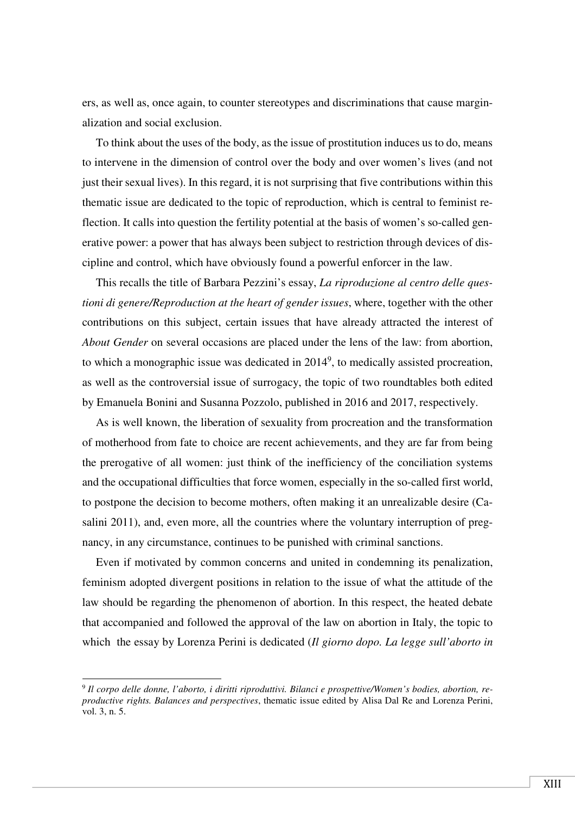ers, as well as, once again, to counter stereotypes and discriminations that cause marginalization and social exclusion.

To think about the uses of the body, as the issue of prostitution induces us to do, means to intervene in the dimension of control over the body and over women's lives (and not just their sexual lives). In this regard, it is not surprising that five contributions within this thematic issue are dedicated to the topic of reproduction, which is central to feminist reflection. It calls into question the fertility potential at the basis of women's so-called generative power: a power that has always been subject to restriction through devices of discipline and control, which have obviously found a powerful enforcer in the law.

This recalls the title of Barbara Pezzini's essay, *La riproduzione al centro delle questioni di genere/Reproduction at the heart of gender issues*, where, together with the other contributions on this subject, certain issues that have already attracted the interest of *About Gender* on several occasions are placed under the lens of the law: from abortion, to which a monographic issue was dedicated in  $2014^9$ , to medically assisted procreation, as well as the controversial issue of surrogacy, the topic of two roundtables both edited by Emanuela Bonini and Susanna Pozzolo, published in 2016 and 2017, respectively.

As is well known, the liberation of sexuality from procreation and the transformation of motherhood from fate to choice are recent achievements, and they are far from being the prerogative of all women: just think of the inefficiency of the conciliation systems and the occupational difficulties that force women, especially in the so-called first world, to postpone the decision to become mothers, often making it an unrealizable desire (Casalini 2011), and, even more, all the countries where the voluntary interruption of pregnancy, in any circumstance, continues to be punished with criminal sanctions.

Even if motivated by common concerns and united in condemning its penalization, feminism adopted divergent positions in relation to the issue of what the attitude of the law should be regarding the phenomenon of abortion. In this respect, the heated debate that accompanied and followed the approval of the law on abortion in Italy, the topic to which the essay by Lorenza Perini is dedicated (*Il giorno dopo. La legge sull'aborto in* 

<sup>9</sup> *Il corpo delle donne, l'aborto, i diritti riproduttivi. Bilanci e prospettive/Women's bodies, abortion, reproductive rights. Balances and perspectives*, thematic issue edited by Alisa Dal Re and Lorenza Perini, vol. 3, n. 5.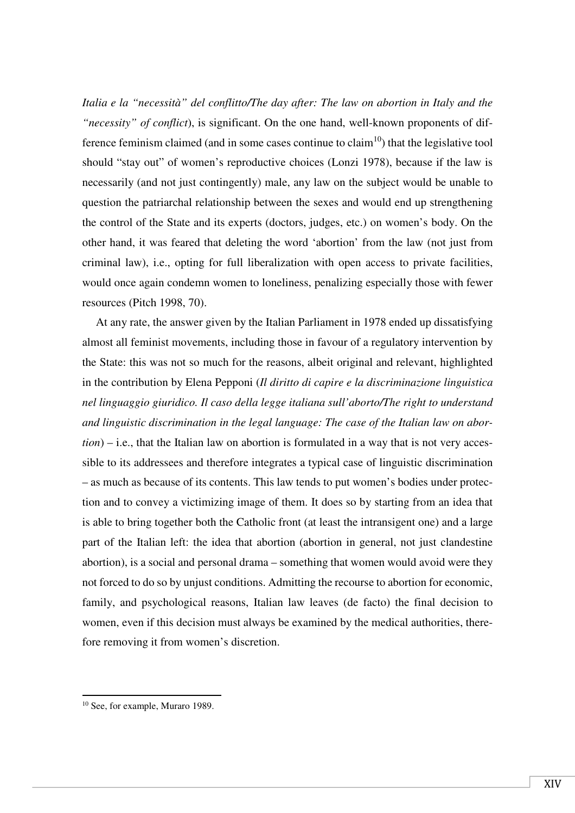*Italia e la "necessità" del conflitto/The day after: The law on abortion in Italy and the "necessity" of conflict*), is significant. On the one hand, well-known proponents of difference feminism claimed (and in some cases continue to claim<sup>10</sup>) that the legislative tool should "stay out" of women's reproductive choices (Lonzi 1978), because if the law is necessarily (and not just contingently) male, any law on the subject would be unable to question the patriarchal relationship between the sexes and would end up strengthening the control of the State and its experts (doctors, judges, etc.) on women's body. On the other hand, it was feared that deleting the word 'abortion' from the law (not just from criminal law), i.e., opting for full liberalization with open access to private facilities, would once again condemn women to loneliness, penalizing especially those with fewer resources (Pitch 1998, 70).

At any rate, the answer given by the Italian Parliament in 1978 ended up dissatisfying almost all feminist movements, including those in favour of a regulatory intervention by the State: this was not so much for the reasons, albeit original and relevant, highlighted in the contribution by Elena Pepponi (*Il diritto di capire e la discriminazione linguistica nel linguaggio giuridico. Il caso della legge italiana sull'aborto/The right to understand and linguistic discrimination in the legal language: The case of the Italian law on abortion*) – i.e., that the Italian law on abortion is formulated in a way that is not very accessible to its addressees and therefore integrates a typical case of linguistic discrimination – as much as because of its contents. This law tends to put women's bodies under protection and to convey a victimizing image of them. It does so by starting from an idea that is able to bring together both the Catholic front (at least the intransigent one) and a large part of the Italian left: the idea that abortion (abortion in general, not just clandestine abortion), is a social and personal drama – something that women would avoid were they not forced to do so by unjust conditions. Admitting the recourse to abortion for economic, family, and psychological reasons, Italian law leaves (de facto) the final decision to women, even if this decision must always be examined by the medical authorities, therefore removing it from women's discretion.

<sup>10</sup> See, for example, Muraro 1989.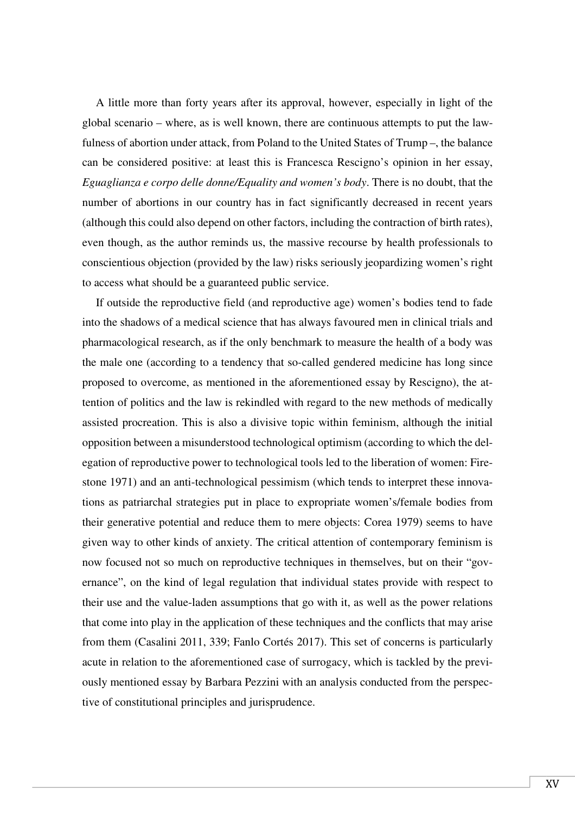A little more than forty years after its approval, however, especially in light of the global scenario – where, as is well known, there are continuous attempts to put the lawfulness of abortion under attack, from Poland to the United States of Trump –, the balance can be considered positive: at least this is Francesca Rescigno's opinion in her essay, *Eguaglianza e corpo delle donne/Equality and women's body*. There is no doubt, that the number of abortions in our country has in fact significantly decreased in recent years (although this could also depend on other factors, including the contraction of birth rates), even though, as the author reminds us, the massive recourse by health professionals to conscientious objection (provided by the law) risks seriously jeopardizing women's right to access what should be a guaranteed public service.

If outside the reproductive field (and reproductive age) women's bodies tend to fade into the shadows of a medical science that has always favoured men in clinical trials and pharmacological research, as if the only benchmark to measure the health of a body was the male one (according to a tendency that so-called gendered medicine has long since proposed to overcome, as mentioned in the aforementioned essay by Rescigno), the attention of politics and the law is rekindled with regard to the new methods of medically assisted procreation. This is also a divisive topic within feminism, although the initial opposition between a misunderstood technological optimism (according to which the delegation of reproductive power to technological tools led to the liberation of women: Firestone 1971) and an anti-technological pessimism (which tends to interpret these innovations as patriarchal strategies put in place to expropriate women's/female bodies from their generative potential and reduce them to mere objects: Corea 1979) seems to have given way to other kinds of anxiety. The critical attention of contemporary feminism is now focused not so much on reproductive techniques in themselves, but on their "governance", on the kind of legal regulation that individual states provide with respect to their use and the value-laden assumptions that go with it, as well as the power relations that come into play in the application of these techniques and the conflicts that may arise from them (Casalini 2011, 339; Fanlo Cortés 2017). This set of concerns is particularly acute in relation to the aforementioned case of surrogacy, which is tackled by the previously mentioned essay by Barbara Pezzini with an analysis conducted from the perspective of constitutional principles and jurisprudence.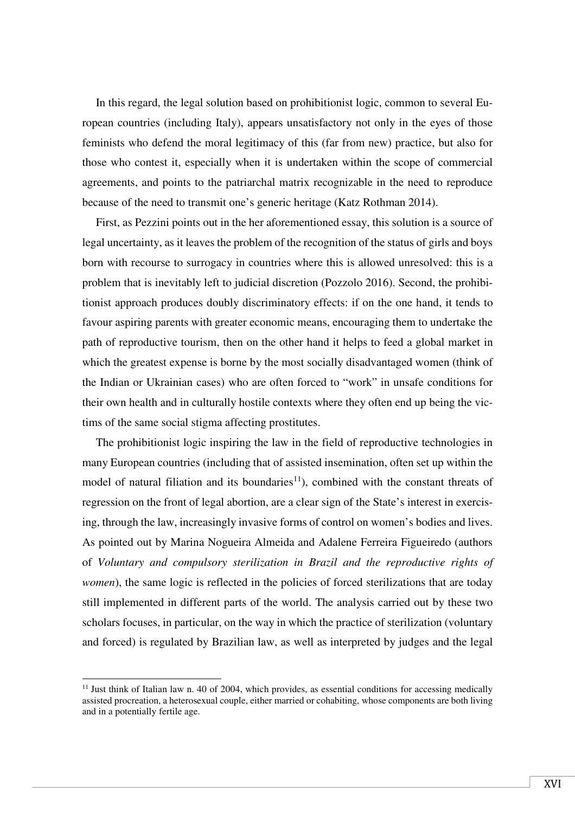In this regard, the legal solution based on prohibitionist logic, common to several European countries (including Italy), appears unsatisfactory not only in the eyes of those feminists who defend the moral legitimacy of this (far from new) practice, but also for those who contest it, especially when it is undertaken within the scope of commercial agreements, and points to the patriarchal matrix recognizable in the need to reproduce because of the need to transmit one's generic heritage (Katz Rothman 2014).

First, as Pezzini points out in the her aforementioned essay, this solution is a source of legal uncertainty, as it leaves the problem of the recognition of the status of girls and boys born with recourse to surrogacy in countries where this is allowed unresolved: this is a problem that is inevitably left to judicial discretion (Pozzolo 2016). Second, the prohibitionist approach produces doubly discriminatory effects: if on the one hand, it tends to favour aspiring parents with greater economic means, encouraging them to undertake the path of reproductive tourism, then on the other hand it helps to feed a global market in which the greatest expense is borne by the most socially disadvantaged women (think of the Indian or Ukrainian cases) who are often forced to "work" in unsafe conditions for their own health and in culturally hostile contexts where they often end up being the victims of the same social stigma affecting prostitutes.

The prohibitionist logic inspiring the law in the field of reproductive technologies in many European countries (including that of assisted insemination, often set up within the model of natural filiation and its boundaries<sup>11</sup>), combined with the constant threats of regression on the front of legal abortion, are a clear sign of the State's interest in exercising, through the law, increasingly invasive forms of control on women's bodies and lives. As pointed out by Marina Nogueira Almeida and Adalene Ferreira Figueiredo (authors of *Voluntary and compulsory sterilization in Brazil and the reproductive rights of women*), the same logic is reflected in the policies of forced sterilizations that are today still implemented in different parts of the world. The analysis carried out by these two scholars focuses, in particular, on the way in which the practice of sterilization (voluntary and forced) is regulated by Brazilian law, as well as interpreted by judges and the legal

<sup>&</sup>lt;sup>11</sup> Just think of Italian law n. 40 of 2004, which provides, as essential conditions for accessing medically assisted procreation, a heterosexual couple, either married or cohabiting, whose components are both living and in a potentially fertile age.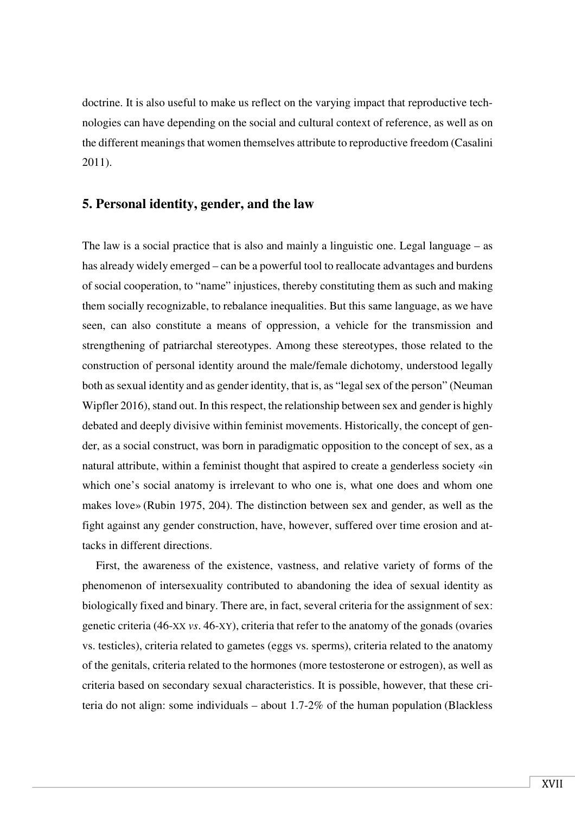doctrine. It is also useful to make us reflect on the varying impact that reproductive technologies can have depending on the social and cultural context of reference, as well as on the different meanings that women themselves attribute to reproductive freedom (Casalini 2011).

### **5. Personal identity, gender, and the law**

The law is a social practice that is also and mainly a linguistic one. Legal language – as has already widely emerged – can be a powerful tool to reallocate advantages and burdens of social cooperation, to "name" injustices, thereby constituting them as such and making them socially recognizable, to rebalance inequalities. But this same language, as we have seen, can also constitute a means of oppression, a vehicle for the transmission and strengthening of patriarchal stereotypes. Among these stereotypes, those related to the construction of personal identity around the male/female dichotomy, understood legally both as sexual identity and as gender identity, that is, as "legal sex of the person" (Neuman Wipfler 2016), stand out. In this respect, the relationship between sex and gender is highly debated and deeply divisive within feminist movements. Historically, the concept of gender, as a social construct, was born in paradigmatic opposition to the concept of sex, as a natural attribute, within a feminist thought that aspired to create a genderless society «in which one's social anatomy is irrelevant to who one is, what one does and whom one makes love» (Rubin 1975, 204). The distinction between sex and gender, as well as the fight against any gender construction, have, however, suffered over time erosion and attacks in different directions.

First, the awareness of the existence, vastness, and relative variety of forms of the phenomenon of intersexuality contributed to abandoning the idea of sexual identity as biologically fixed and binary. There are, in fact, several criteria for the assignment of sex: genetic criteria (46-XX *vs*. 46-XY), criteria that refer to the anatomy of the gonads (ovaries vs. testicles), criteria related to gametes (eggs vs. sperms), criteria related to the anatomy of the genitals, criteria related to the hormones (more testosterone or estrogen), as well as criteria based on secondary sexual characteristics. It is possible, however, that these criteria do not align: some individuals – about 1.7-2% of the human population (Blackless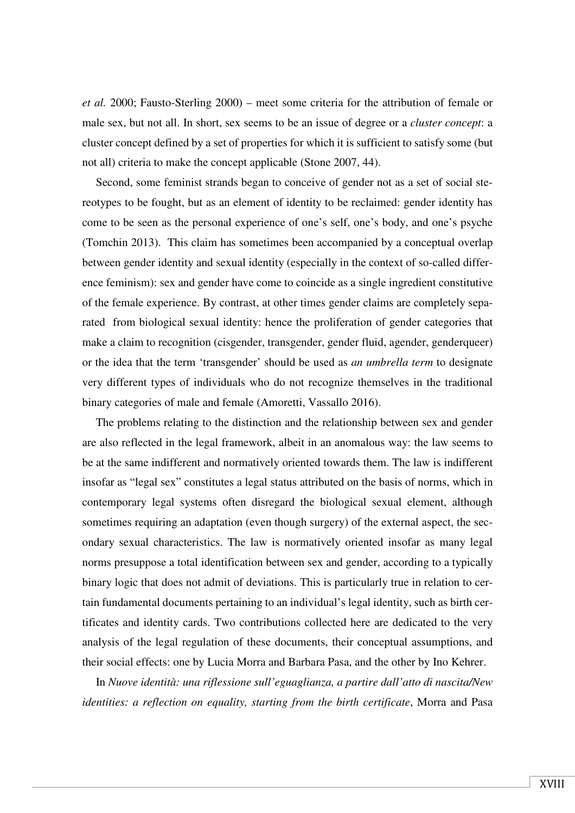*et al.* 2000; Fausto-Sterling 2000) – meet some criteria for the attribution of female or male sex, but not all. In short, sex seems to be an issue of degree or a *cluster concept*: a cluster concept defined by a set of properties for which it is sufficient to satisfy some (but not all) criteria to make the concept applicable (Stone 2007, 44).

Second, some feminist strands began to conceive of gender not as a set of social stereotypes to be fought, but as an element of identity to be reclaimed: gender identity has come to be seen as the personal experience of one's self, one's body, and one's psyche (Tomchin 2013). This claim has sometimes been accompanied by a conceptual overlap between gender identity and sexual identity (especially in the context of so-called difference feminism): sex and gender have come to coincide as a single ingredient constitutive of the female experience. By contrast, at other times gender claims are completely separated from biological sexual identity: hence the proliferation of gender categories that make a claim to recognition (cisgender, transgender, gender fluid, agender, genderqueer) or the idea that the term 'transgender' should be used as *an umbrella term* to designate very different types of individuals who do not recognize themselves in the traditional binary categories of male and female (Amoretti, Vassallo 2016).

The problems relating to the distinction and the relationship between sex and gender are also reflected in the legal framework, albeit in an anomalous way: the law seems to be at the same indifferent and normatively oriented towards them. The law is indifferent insofar as "legal sex" constitutes a legal status attributed on the basis of norms, which in contemporary legal systems often disregard the biological sexual element, although sometimes requiring an adaptation (even though surgery) of the external aspect, the secondary sexual characteristics. The law is normatively oriented insofar as many legal norms presuppose a total identification between sex and gender, according to a typically binary logic that does not admit of deviations. This is particularly true in relation to certain fundamental documents pertaining to an individual's legal identity, such as birth certificates and identity cards. Two contributions collected here are dedicated to the very analysis of the legal regulation of these documents, their conceptual assumptions, and their social effects: one by Lucia Morra and Barbara Pasa, and the other by Ino Kehrer.

In *Nuove identità: una riflessione sull'eguaglianza, a partire dall'atto di nascita/New identities: a reflection on equality, starting from the birth certificate*, Morra and Pasa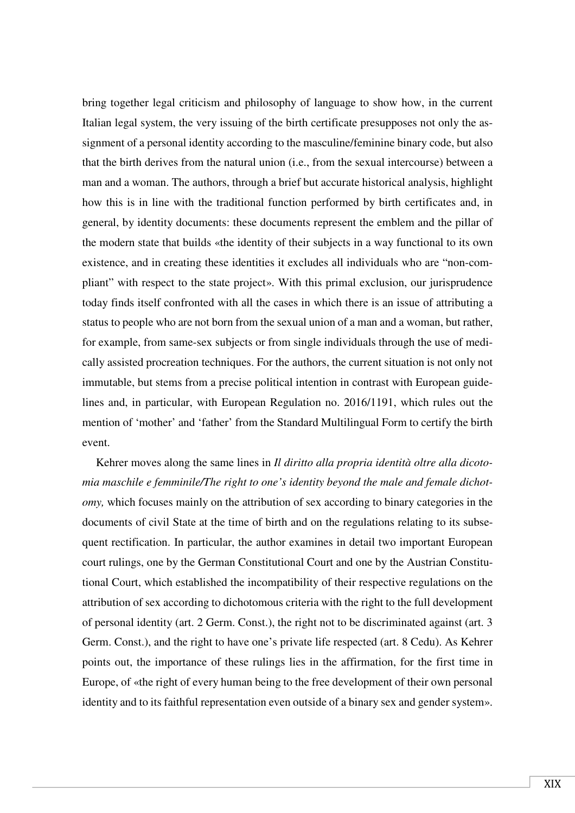bring together legal criticism and philosophy of language to show how, in the current Italian legal system, the very issuing of the birth certificate presupposes not only the assignment of a personal identity according to the masculine/feminine binary code, but also that the birth derives from the natural union (i.e., from the sexual intercourse) between a man and a woman. The authors, through a brief but accurate historical analysis, highlight how this is in line with the traditional function performed by birth certificates and, in general, by identity documents: these documents represent the emblem and the pillar of the modern state that builds «the identity of their subjects in a way functional to its own existence, and in creating these identities it excludes all individuals who are "non-compliant" with respect to the state project». With this primal exclusion, our jurisprudence today finds itself confronted with all the cases in which there is an issue of attributing a status to people who are not born from the sexual union of a man and a woman, but rather, for example, from same-sex subjects or from single individuals through the use of medically assisted procreation techniques. For the authors, the current situation is not only not immutable, but stems from a precise political intention in contrast with European guidelines and, in particular, with European Regulation no. 2016/1191, which rules out the mention of 'mother' and 'father' from the Standard Multilingual Form to certify the birth event.

Kehrer moves along the same lines in *Il diritto alla propria identità oltre alla dicotomia maschile e femminile/The right to one's identity beyond the male and female dichotomy,* which focuses mainly on the attribution of sex according to binary categories in the documents of civil State at the time of birth and on the regulations relating to its subsequent rectification. In particular, the author examines in detail two important European court rulings, one by the German Constitutional Court and one by the Austrian Constitutional Court, which established the incompatibility of their respective regulations on the attribution of sex according to dichotomous criteria with the right to the full development of personal identity (art. 2 Germ. Const.), the right not to be discriminated against (art. 3 Germ. Const.), and the right to have one's private life respected (art. 8 Cedu). As Kehrer points out, the importance of these rulings lies in the affirmation, for the first time in Europe, of «the right of every human being to the free development of their own personal identity and to its faithful representation even outside of a binary sex and gender system».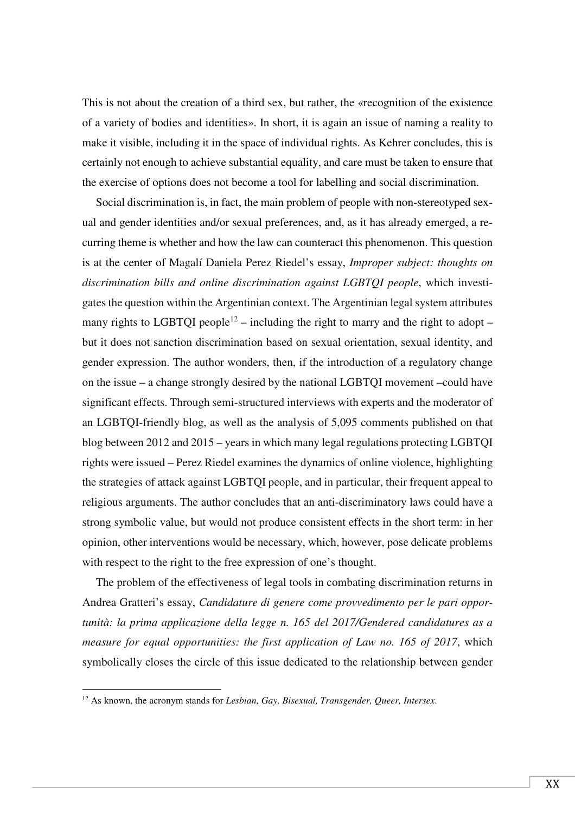This is not about the creation of a third sex, but rather, the «recognition of the existence of a variety of bodies and identities». In short, it is again an issue of naming a reality to make it visible, including it in the space of individual rights. As Kehrer concludes, this is certainly not enough to achieve substantial equality, and care must be taken to ensure that the exercise of options does not become a tool for labelling and social discrimination.

Social discrimination is, in fact, the main problem of people with non-stereotyped sexual and gender identities and/or sexual preferences, and, as it has already emerged, a recurring theme is whether and how the law can counteract this phenomenon. This question is at the center of Magalí Daniela Perez Riedel's essay, *Improper subject: thoughts on discrimination bills and online discrimination against LGBTQI people*, which investigates the question within the Argentinian context. The Argentinian legal system attributes many rights to LGBTQI people<sup>12</sup> – including the right to marry and the right to adopt – but it does not sanction discrimination based on sexual orientation, sexual identity, and gender expression. The author wonders, then, if the introduction of a regulatory change on the issue – a change strongly desired by the national LGBTQI movement –could have significant effects. Through semi-structured interviews with experts and the moderator of an LGBTQI-friendly blog, as well as the analysis of 5,095 comments published on that blog between 2012 and 2015 – years in which many legal regulations protecting LGBTQI rights were issued – Perez Riedel examines the dynamics of online violence, highlighting the strategies of attack against LGBTQI people, and in particular, their frequent appeal to religious arguments. The author concludes that an anti-discriminatory laws could have a strong symbolic value, but would not produce consistent effects in the short term: in her opinion, other interventions would be necessary, which, however, pose delicate problems with respect to the right to the free expression of one's thought.

The problem of the effectiveness of legal tools in combating discrimination returns in Andrea Gratteri's essay, *Candidature di genere come provvedimento per le pari opportunità: la prima applicazione della legge n. 165 del 2017/Gendered candidatures as a measure for equal opportunities: the first application of Law no. 165 of 2017*, which symbolically closes the circle of this issue dedicated to the relationship between gender

<sup>12</sup> As known, the acronym stands for *Lesbian, Gay, Bisexual, Transgender, Queer, Intersex*.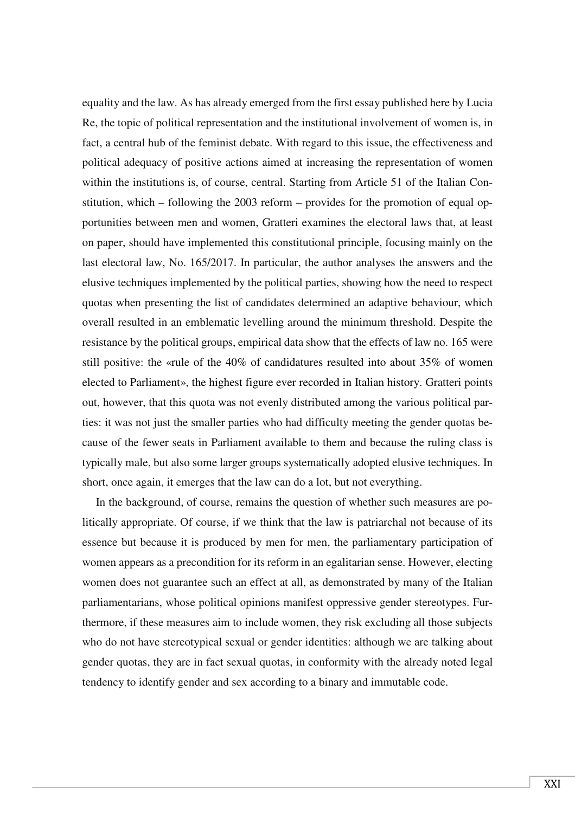equality and the law. As has already emerged from the first essay published here by Lucia Re, the topic of political representation and the institutional involvement of women is, in fact, a central hub of the feminist debate. With regard to this issue, the effectiveness and political adequacy of positive actions aimed at increasing the representation of women within the institutions is, of course, central. Starting from Article 51 of the Italian Constitution, which – following the 2003 reform – provides for the promotion of equal opportunities between men and women, Gratteri examines the electoral laws that, at least on paper, should have implemented this constitutional principle, focusing mainly on the last electoral law, No. 165/2017. In particular, the author analyses the answers and the elusive techniques implemented by the political parties, showing how the need to respect quotas when presenting the list of candidates determined an adaptive behaviour, which overall resulted in an emblematic levelling around the minimum threshold. Despite the resistance by the political groups, empirical data show that the effects of law no. 165 were still positive: the «rule of the 40% of candidatures resulted into about 35% of women elected to Parliament», the highest figure ever recorded in Italian history. Gratteri points out, however, that this quota was not evenly distributed among the various political parties: it was not just the smaller parties who had difficulty meeting the gender quotas because of the fewer seats in Parliament available to them and because the ruling class is typically male, but also some larger groups systematically adopted elusive techniques. In short, once again, it emerges that the law can do a lot, but not everything.

In the background, of course, remains the question of whether such measures are politically appropriate. Of course, if we think that the law is patriarchal not because of its essence but because it is produced by men for men, the parliamentary participation of women appears as a precondition for its reform in an egalitarian sense. However, electing women does not guarantee such an effect at all, as demonstrated by many of the Italian parliamentarians, whose political opinions manifest oppressive gender stereotypes. Furthermore, if these measures aim to include women, they risk excluding all those subjects who do not have stereotypical sexual or gender identities: although we are talking about gender quotas, they are in fact sexual quotas, in conformity with the already noted legal tendency to identify gender and sex according to a binary and immutable code.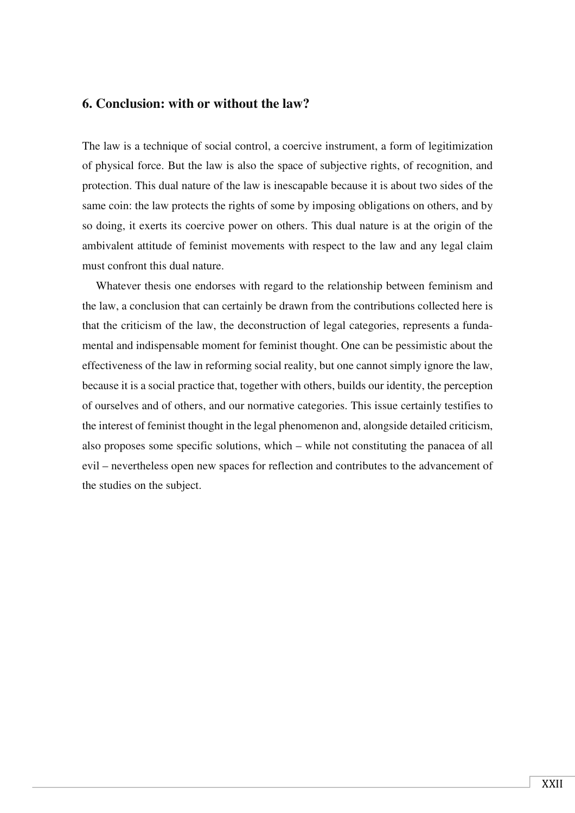## **6. Conclusion: with or without the law?**

The law is a technique of social control, a coercive instrument, a form of legitimization of physical force. But the law is also the space of subjective rights, of recognition, and protection. This dual nature of the law is inescapable because it is about two sides of the same coin: the law protects the rights of some by imposing obligations on others, and by so doing, it exerts its coercive power on others. This dual nature is at the origin of the ambivalent attitude of feminist movements with respect to the law and any legal claim must confront this dual nature.

Whatever thesis one endorses with regard to the relationship between feminism and the law, a conclusion that can certainly be drawn from the contributions collected here is that the criticism of the law, the deconstruction of legal categories, represents a fundamental and indispensable moment for feminist thought. One can be pessimistic about the effectiveness of the law in reforming social reality, but one cannot simply ignore the law, because it is a social practice that, together with others, builds our identity, the perception of ourselves and of others, and our normative categories. This issue certainly testifies to the interest of feminist thought in the legal phenomenon and, alongside detailed criticism, also proposes some specific solutions, which – while not constituting the panacea of all evil – nevertheless open new spaces for reflection and contributes to the advancement of the studies on the subject.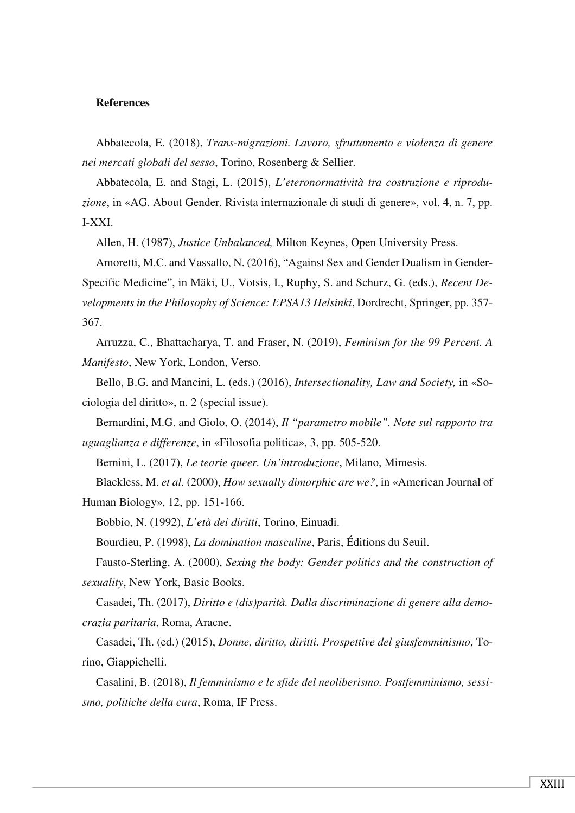#### **References**

Abbatecola, E. (2018), *Trans-migrazioni. Lavoro, sfruttamento e violenza di genere nei mercati globali del sesso*, Torino, Rosenberg & Sellier.

Abbatecola, E. and Stagi, L. (2015), *L'eteronormatività tra costruzione e riproduzione*, in «AG. About Gender. Rivista internazionale di studi di genere», vol. 4, n. 7, pp. I-XXI.

Allen, H. (1987), *Justice Unbalanced,* Milton Keynes, Open University Press.

Amoretti, M.C. and Vassallo, N. (2016), "Against Sex and Gender Dualism in Gender-Specific Medicine", in Mäki, U., Votsis, I., Ruphy, S. and Schurz, G. (eds.), *Recent Developments in the Philosophy of Science: EPSA13 Helsinki*, Dordrecht, Springer, pp. 357- 367.

Arruzza, C., Bhattacharya, T. and Fraser, N. (2019), *Feminism for the 99 Percent. A Manifesto*, New York, London, Verso.

Bello, B.G. and Mancini, L. (eds.) (2016), *Intersectionality, Law and Society,* in «Sociologia del diritto», n. 2 (special issue).

Bernardini, M.G. and Giolo, O. (2014), *Il "parametro mobile". Note sul rapporto tra uguaglianza e differenze*, in «Filosofia politica», 3, pp. 505-520.

Bernini, L. (2017), *Le teorie queer. Un'introduzione*, Milano, Mimesis.

Blackless, M. *et al.* (2000), *How sexually dimorphic are we?*, in «American Journal of Human Biology», 12, pp. 151-166.

Bobbio, N. (1992), *L'età dei diritti*, Torino, Einuadi.

Bourdieu, P. (1998), *La domination masculine*, Paris, Éditions du Seuil.

Fausto-Sterling, A. (2000), *Sexing the body: Gender politics and the construction of sexuality*, New York, Basic Books.

Casadei, Th. (2017), *Diritto e (dis)parità. Dalla discriminazione di genere alla democrazia paritaria*, Roma, Aracne.

Casadei, Th. (ed.) (2015), *Donne, diritto, diritti. Prospettive del giusfemminismo*, Torino, Giappichelli.

Casalini, B. (2018), *Il femminismo e le sfide del neoliberismo. Postfemminismo, sessismo, politiche della cura*, Roma, IF Press.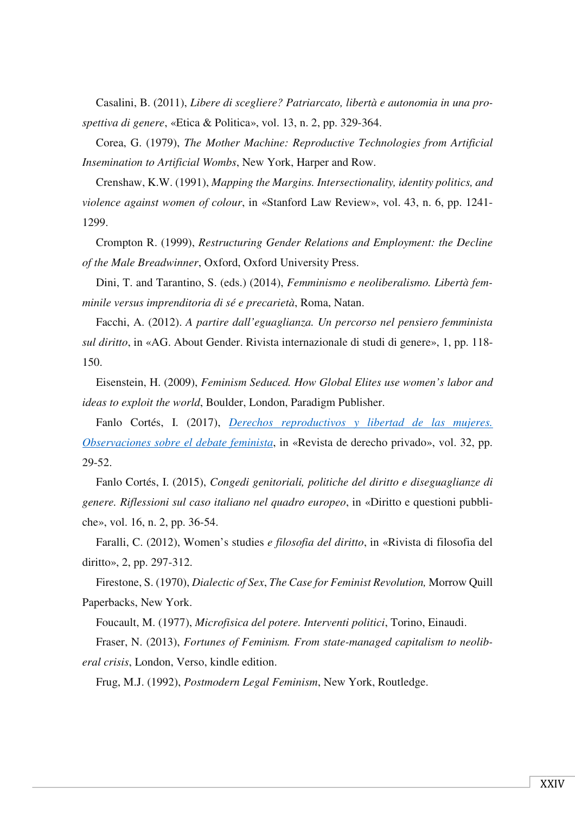Casalini, B. (2011), *Libere di scegliere? Patriarcato, libertà e autonomia in una prospettiva di genere*, «Etica & Politica», vol. 13, n. 2, pp. 329-364.

Corea, G. (1979), *The Mother Machine: Reproductive Technologies from Artificial Insemination to Artificial Wombs*, New York, Harper and Row.

Crenshaw, K.W. (1991), *Mapping the Margins. Intersectionality, identity politics, and violence against women of colour*, in «Stanford Law Review», vol. 43, n. 6, pp. 1241- 1299.

Crompton R. (1999), *Restructuring Gender Relations and Employment: the Decline of the Male Breadwinner*, Oxford, Oxford University Press.

Dini, T. and Tarantino, S. (eds.) (2014), *Femminismo e neoliberalismo. Libertà femminile versus imprenditoria di sé e precarietà*, Roma, Natan.

Facchi, A. (2012). *A partire dall'eguaglianza. Un percorso nel pensiero femminista sul diritto*, in «AG. About Gender. Rivista internazionale di studi di genere», 1, pp. 118- 150.

Eisenstein, H. (2009), *Feminism Seduced. How Global Elites use women's labor and ideas to exploit the world*, Boulder, London, Paradigm Publisher.

Fanlo Cortés, I. (2017), *Derechos reproductivos y libertad de las mujeres. Observaciones sobre el debate feminista*, in «Revista de derecho privado», vol. 32, pp. 29-52.

Fanlo Cortés, I. (2015), *Congedi genitoriali, politiche del diritto e diseguaglianze di genere. Riflessioni sul caso italiano nel quadro europeo*, in «Diritto e questioni pubbliche», vol. 16, n. 2, pp. 36-54.

Faralli, C. (2012), Women's studies *e filosofia del diritto*, in «Rivista di filosofia del diritto», 2, pp. 297-312.

Firestone, S. (1970), *Dialectic of Sex*, *The Case for Feminist Revolution,* Morrow Quill Paperbacks, New York.

Foucault, M. (1977), *Microfisica del potere. Interventi politici*, Torino, Einaudi.

Fraser, N. (2013), *Fortunes of Feminism. From state-managed capitalism to neoliberal crisis*, London, Verso, kindle edition.

Frug, M.J. (1992), *Postmodern Legal Feminism*, New York, Routledge.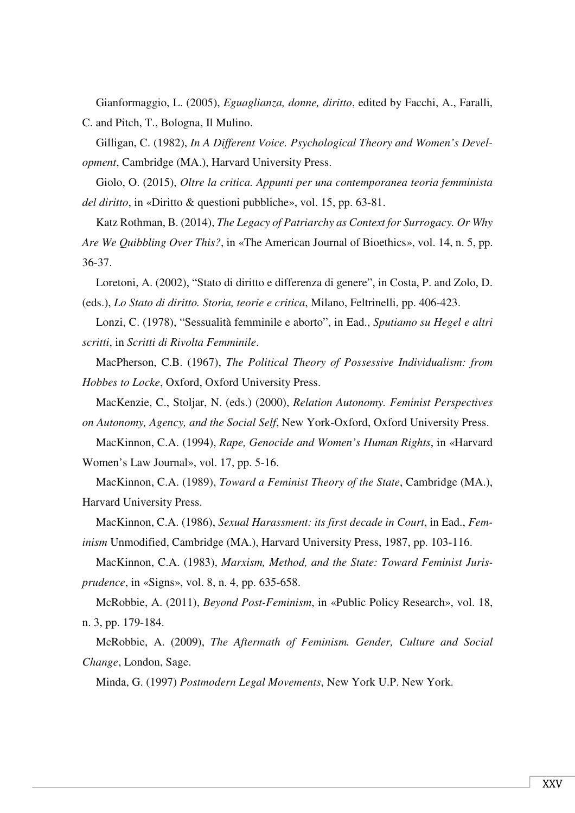Gianformaggio, L. (2005), *Eguaglianza, donne, diritto*, edited by Facchi, A., Faralli, C. and Pitch, T., Bologna, Il Mulino.

Gilligan, C. (1982), *In A Different Voice. Psychological Theory and Women's Development*, Cambridge (MA.), Harvard University Press.

Giolo, O. (2015), *Oltre la critica. Appunti per una contemporanea teoria femminista del diritto*, in «Diritto & questioni pubbliche», vol. 15, pp. 63-81.

Katz Rothman, B. (2014), *The Legacy of Patriarchy as Context for Surrogacy. Or Why Are We Quibbling Over This?*, in «The American Journal of Bioethics», vol. 14, n. 5, pp. 36-37.

Loretoni, A. (2002), "Stato di diritto e differenza di genere", in Costa, P. and Zolo, D. (eds.), *Lo Stato di diritto. Storia, teorie e critica*, Milano, Feltrinelli, pp. 406-423.

Lonzi, C. (1978), "Sessualità femminile e aborto", in Ead., *Sputiamo su Hegel e altri scritti*, in *Scritti di Rivolta Femminile*.

MacPherson, C.B. (1967), *The Political Theory of Possessive Individualism: from Hobbes to Locke*, Oxford, Oxford University Press.

MacKenzie, C., Stoljar, N. (eds.) (2000), *Relation Autonomy. Feminist Perspectives on Autonomy, Agency, and the Social Self*, New York-Oxford, Oxford University Press.

MacKinnon, C.A. (1994), *Rape, Genocide and Women's Human Rights*, in «Harvard Women's Law Journal», vol. 17, pp. 5-16.

MacKinnon, C.A. (1989), *Toward a Feminist Theory of the State*, Cambridge (MA.), Harvard University Press.

MacKinnon, C.A. (1986), *Sexual Harassment: its first decade in Court*, in Ead., *Feminism* Unmodified, Cambridge (MA.), Harvard University Press, 1987, pp. 103-116.

MacKinnon, C.A. (1983), *Marxism, Method, and the State: Toward Feminist Jurisprudence*, in «Signs», vol. 8, n. 4, pp. 635-658.

McRobbie, A. (2011), *Beyond Post-Feminism*, in «Public Policy Research», vol. 18, n. 3, pp. 179-184.

McRobbie, A. (2009), *The Aftermath of Feminism. Gender, Culture and Social Change*, London, Sage.

Minda, G. (1997) *Postmodern Legal Movements*, New York U.P. New York.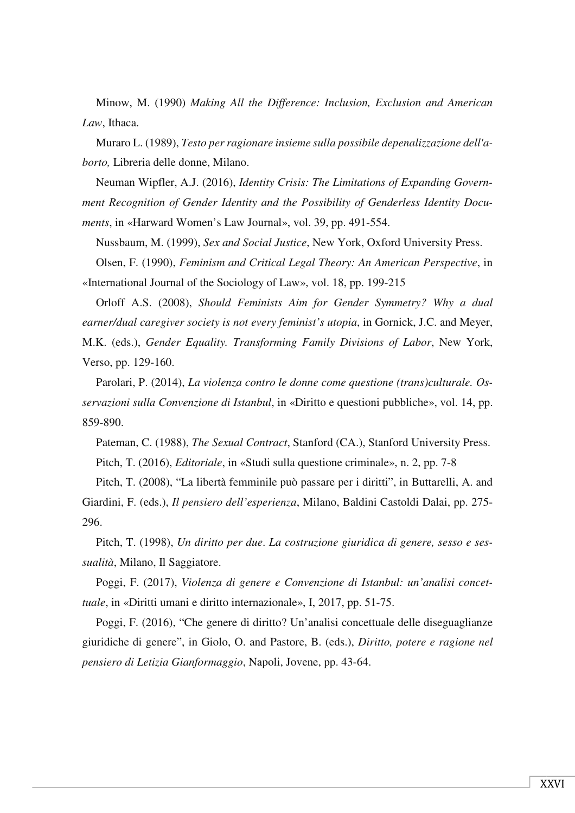Minow, M. (1990) *Making All the Difference: Inclusion, Exclusion and American Law*, Ithaca.

Muraro L. (1989), *Testo per ragionare insieme sulla possibile depenalizzazione dell'aborto,* Libreria delle donne, Milano.

Neuman Wipfler, A.J. (2016), *Identity Crisis: The Limitations of Expanding Government Recognition of Gender Identity and the Possibility of Genderless Identity Documents*, in «Harward Women's Law Journal», vol. 39, pp. 491-554.

Nussbaum, M. (1999), *Sex and Social Justice*, New York, Oxford University Press.

Olsen, F. (1990), *Feminism and Critical Legal Theory: An American Perspective*, in «International Journal of the Sociology of Law», vol. 18, pp. 199-215

Orloff A.S. (2008), *Should Feminists Aim for Gender Symmetry? Why a dual earner/dual caregiver society is not every feminist's utopia*, in Gornick, J.C. and Meyer, M.K. (eds.), *Gender Equality. Transforming Family Divisions of Labor*, New York, Verso, pp. 129-160.

Parolari, P. (2014), *La violenza contro le donne come questione (trans)culturale. Osservazioni sulla Convenzione di Istanbul*, in «Diritto e questioni pubbliche», vol. 14, pp. 859-890.

Pateman, C. (1988), *The Sexual Contract*, Stanford (CA.), Stanford University Press. Pitch, T. (2016), *Editoriale*, in «Studi sulla questione criminale», n. 2, pp. 7-8

Pitch, T. (2008), "La libertà femminile può passare per i diritti", in Buttarelli, A. and Giardini, F. (eds.), *Il pensiero dell'esperienza*, Milano, Baldini Castoldi Dalai, pp. 275- 296.

Pitch, T. (1998), *Un diritto per due*. *La costruzione giuridica di genere, sesso e sessualità*, Milano, Il Saggiatore.

Poggi, F. (2017), *Violenza di genere e Convenzione di Istanbul: un'analisi concettuale*, in «Diritti umani e diritto internazionale», I, 2017, pp. 51-75.

Poggi, F. (2016), "Che genere di diritto? Un'analisi concettuale delle diseguaglianze giuridiche di genere", in Giolo, O. and Pastore, B. (eds.), *Diritto, potere e ragione nel pensiero di Letizia Gianformaggio*, Napoli, Jovene, pp. 43-64.